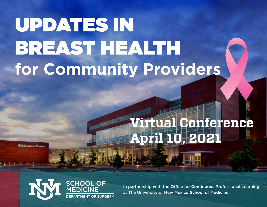# UPDATES IN BREAST HEALTH for Community Providers

# Vi rtual Conference **April 10, 2021**

**UNM Cancer Center** 



In partnership with the Office for Continuous Professional Learning at The University of New Mexico School of Medicine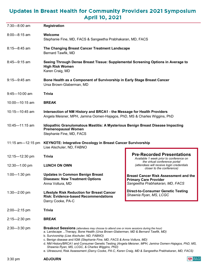# Updates in Breast Health for Community Providers 2021 Symposium **April 10, 2021**

| $7:30 - 8:00$ am  | <b>Registration</b>                                                                                                                                                                                                                                                                                                                                                                                                                                                                                                                                                         |                                                                                                                                                                                         |  |
|-------------------|-----------------------------------------------------------------------------------------------------------------------------------------------------------------------------------------------------------------------------------------------------------------------------------------------------------------------------------------------------------------------------------------------------------------------------------------------------------------------------------------------------------------------------------------------------------------------------|-----------------------------------------------------------------------------------------------------------------------------------------------------------------------------------------|--|
| $8:00 - 8:15$ am  | Welcome<br>Stephanie Fine, MD, FACS & Sangeetha Prabhakaran, MD, FACS                                                                                                                                                                                                                                                                                                                                                                                                                                                                                                       |                                                                                                                                                                                         |  |
| $8:15 - 8:45$ am  | The Changing Breast Cancer Treatment Landscape<br>Bernard Tawfik, MD                                                                                                                                                                                                                                                                                                                                                                                                                                                                                                        |                                                                                                                                                                                         |  |
| $8:45 - 9:15$ am  | Seeing Through Dense Breast Tissue: Supplemental Screening Options in Average to<br><b>High Risk Women</b><br>Karen Craig, MD                                                                                                                                                                                                                                                                                                                                                                                                                                               |                                                                                                                                                                                         |  |
| $9:15 - 9:45$ am  | Bone Health as a Component of Survivorship in Early Stage Breast Cancer<br>Ursa Brown-Glaberman, MD                                                                                                                                                                                                                                                                                                                                                                                                                                                                         |                                                                                                                                                                                         |  |
| $9:45 - 10:00$ am | <b>Trivia</b>                                                                                                                                                                                                                                                                                                                                                                                                                                                                                                                                                               |                                                                                                                                                                                         |  |
| 10:00-10:15 am    | <b>BREAK</b>                                                                                                                                                                                                                                                                                                                                                                                                                                                                                                                                                                |                                                                                                                                                                                         |  |
| 10:15-10:45 am    | Intersection of NM History and BRCA1 - the Message for Health Providers<br>Angela Meisner, MPH, Jamina Oomen-Hajagos, PhD, MS & Charles Wiggins, PhD                                                                                                                                                                                                                                                                                                                                                                                                                        |                                                                                                                                                                                         |  |
| 10:45-11:15 am    | Idiopathic Granulomatous Mastitis: A Mysterious Benign Breast Disease Impacting<br><b>Premenopausal Women</b><br>Stephanie Fine, MD, FACS                                                                                                                                                                                                                                                                                                                                                                                                                                   |                                                                                                                                                                                         |  |
| 11:15 am—12:15 pm | <b>KEYNOTE: Integrative Oncology in Breast Cancer Survivorship</b><br>Lise Alschuler, ND, FABNO                                                                                                                                                                                                                                                                                                                                                                                                                                                                             |                                                                                                                                                                                         |  |
| 12:15-12:30 pm    | <b>Trivia</b>                                                                                                                                                                                                                                                                                                                                                                                                                                                                                                                                                               | <b>Pre-Recorded Presentations</b><br>Available 1 week prior to conference on<br>the virtual conference portal<br>(attendees will receive login credentials<br>closer to the conference) |  |
| $12:30 - 1:00$ pm | <b>LUNCH ON OWN</b>                                                                                                                                                                                                                                                                                                                                                                                                                                                                                                                                                         |                                                                                                                                                                                         |  |
| 1:00-1:30 pm      | <b>Updates in Common Benign Breast</b><br><b>Diseases: New Treatment Options</b><br>Anna Voltura, MD                                                                                                                                                                                                                                                                                                                                                                                                                                                                        | <b>Breast Cancer Risk Assessment and the</b><br><b>Primary Care Provider</b><br>Sangeetha Prabhakaran, MD, FACS                                                                         |  |
| $1:30 - 2:00$ pm  | <b>Lifestyle Risk Reduction for Breast Cancer</b><br><b>Risk: Evidence-based Recommendations</b><br>Darcy Cooke, PA-C                                                                                                                                                                                                                                                                                                                                                                                                                                                       | <b>Direct-to-Consumer Genetic Testing</b><br>Shawnia Ryan, MS, LCGC                                                                                                                     |  |
| $2:00 - 2:15$ pm  | <b>Trivia</b>                                                                                                                                                                                                                                                                                                                                                                                                                                                                                                                                                               |                                                                                                                                                                                         |  |
| $2:15 - 2:30$ pm  | <b>BREAK</b>                                                                                                                                                                                                                                                                                                                                                                                                                                                                                                                                                                |                                                                                                                                                                                         |  |
| $2:30 - 3:30$ pm  | Breakout Sessions (attendees may choose to attend one or more sessions during the hour)<br>a. Landscape Therapy, Bone Health (Ursa Brown-Glaberman, MD & Bernard Tawfik, MD)<br>b. Survivorship (Lise Alschuler, ND, FABNO)<br>c. Benign disease and IGM (Stephanie Fine, MD, FACS & Anna Voltura, MD)<br>d. NM History/BRCA1 and Consumer Genetic Testing (Angela Meisner, MPH, Jamina Oomen-Hajagos, PhD, MS,<br>Shawnia Ryan, MS, LCGC, & Charles Wiggins, PhD)<br>e. Ultrasound, Risk Assessment (Darcy Cooke, PA-C, Karen Craig, MD & Sangeetha Prabhakaran, MD, FACS) |                                                                                                                                                                                         |  |

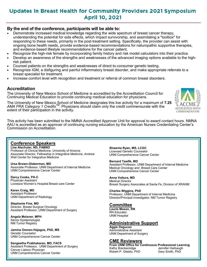# **Updates in Breast Health for Community Providers 2021 Symposium April 10, 2021**

#### **By the end of the conference, participants will be able to:**

- Demonstrate increased medical knowledge regarding the wide spectrum of breast cancer therapy, understanding the potential for side effects, which impact survivorship, and assimilating a "toolbox" for responding to these needs, primarily in the post-treatment setting. Specifically, the provider can assist with ongoing bone health needs, provide evidence-based recommendations for naturopathic supportive therapies, and evidence-based lifestyle recommendations for the cancer patient.
	- Recognize the high-risk female by incorporating family history and risk model calculators into their practice.
- Develop an awareness of the strengths and weaknesses of the advanced imaging options available to the highrisk patient.
- Counsel patients on the strengths and weaknesses of direct-to-consumer genetic testing.
- Recognize IGM, a disfiguring and painful inflammatory breast disorder, and make appropriate referrals to a breast specialist for treatment.
- Increase comfort level with recognition and treatment or referral of common breast disorders.

#### **Accreditation**

The University of New Mexico School of Medicine is accredited by the Accreditation Council for Continuing Medical Education to provide continuing medical education for physicians.

The University of New Mexico School of Medicine designates this live activity for a maximum of 7.25 *AMA PRA Category 1 CreditsTM*. Physicians should claim only the credit commensurate with the extent of their participation in the activity.

This activity has been submitted to the NMNA Accredited Approver Unit for approval to award contact hours. NMNA AAU is accredited as an approver of continuing nursing education by the American Nurses Credentialing Center's Commission on Accreditation.

#### **Conference Speakers**

**Lise Alschuler, ND, FABNO** Professor of Clinical Medicine, University of Arizona Associate Director, Fellowship in Integrative Medicine, Andrew Weil Center for Integrative Medicine

**Ursa Brown-Glaberman, MD** Associate Professor, UNM Department of Internal Medicine UNM Comprehensive Cancer Center

**Darcy Cooke, PA-C** Physician Assistant Lovelace Women's Hospital Breast care Center

**Karen Craig, MD** Assistant Professor UNM Department of Radiology

**Stephanie Fine, MD** Director, Breast Surgical Oncology Assistant Professor, UNM Department of Surgery

**Angela Meisner, MPH** Senior Epidemiologist NM Tumor Registry

**Jamina Oomen-Hajagos, PhD, MS** Genetic Counselor UNM Comprehensive Cancer Center

**Sangeetha Prabhakaran, MD, FACS** Assistant Professor, UNM Department of Surgery Cancer Liaison Physician UNM Comprehensive Cancer Center

**Shawnia Ryan, MS, LCGC** Licensed Genetic Counselor UNM Comprehensive Cancer Center

**Bernard Tawfik, MD** Assistant Professor, UNM Department of Internal Medicine Medical Oncology and Breast Care Center UNM Comprehensive Cancer Center

**Anna Voltura, MD** Medical Director Breast Surgery Associates at Santa Fe, Division of XRANM

**Charles Wiggins, PhD** Professor, UNM Department of Internal Medicine Director/Principal Investigator, NM Tumor Registry

#### **Committee**

**Laurie Mason, RN** RN Educator UNM Hospital

#### **Administrative Support**

**Aggie Dagucon** Administrative Assistant UNM Department of Surgery

#### **CME Reviewers**

Kathy Breckenridge **Jennifer Harbaught Harbaught Contains Act**<br>Robert P. Giebitz, PhD Gary Smith, PhD Robert P. Giebitz, PhD

**From UNM Office for Continuous Professional Learning**